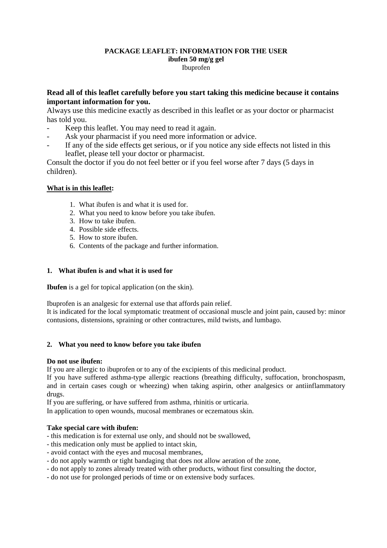# **PACKAGE LEAFLET: INFORMATION FOR THE USER ibufen 50 mg/g gel**  Ibuprofen

# **Read all of this leaflet carefully before you start taking this medicine because it contains important information for you.**

Always use this medicine exactly as described in this leaflet or as your doctor or pharmacist has told you.

- Keep this leaflet. You may need to read it again.
- Ask your pharmacist if you need more information or advice.
- If any of the side effects get serious, or if you notice any side effects not listed in this leaflet, please tell your doctor or pharmacist.

Consult the doctor if you do not feel better or if you feel worse after 7 days (5 days in children).

# **What is in this leaflet:**

- 1. What ibufen is and what it is used for.
- 2. What you need to know before you take ibufen.
- 3. How to take ibufen.
- 4. Possible side effects.
- 5. How to store ibufen.
- 6. Contents of the package and further information.

# **1. What ibufen is and what it is used for**

**Ibufen** is a gel for topical application (on the skin).

Ibuprofen is an analgesic for external use that affords pain relief.

It is indicated for the local symptomatic treatment of occasional muscle and joint pain, caused by: minor contusions, distensions, spraining or other contractures, mild twists, and lumbago.

# **2. What you need to know before you take ibufen**

# **Do not use ibufen:**

If you are allergic to ibuprofen or to any of the excipients of this medicinal product.

If you have suffered asthma-type allergic reactions (breathing difficulty, suffocation, bronchospasm, and in certain cases cough or wheezing) when taking aspirin, other analgesics or antiinflammatory drugs.

If you are suffering, or have suffered from asthma, rhinitis or urticaria.

In application to open wounds, mucosal membranes or eczematous skin.

# **Take special care with ibufen:**

- this medication is for external use only, and should not be swallowed,
- this medication only must be applied to intact skin,
- avoid contact with the eyes and mucosal membranes,
- do not apply warmth or tight bandaging that does not allow aeration of the zone,
- do not apply to zones already treated with other products, without first consulting the doctor,
- do not use for prolonged periods of time or on extensive body surfaces.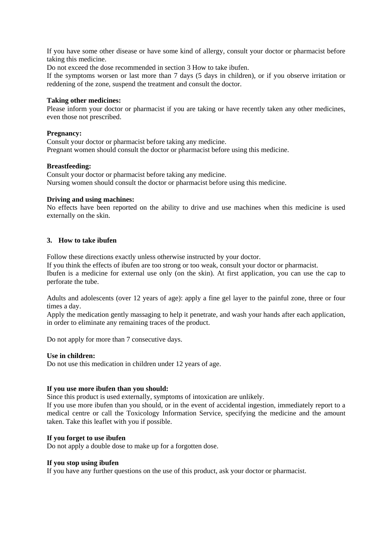If you have some other disease or have some kind of allergy, consult your doctor or pharmacist before taking this medicine.

Do not exceed the dose recommended in section 3 How to take ibufen.

If the symptoms worsen or last more than 7 days (5 days in children), or if you observe irritation or reddening of the zone, suspend the treatment and consult the doctor.

### **Taking other medicines:**

Please inform your doctor or pharmacist if you are taking or have recently taken any other medicines, even those not prescribed.

### **Pregnancy:**

Consult your doctor or pharmacist before taking any medicine. Pregnant women should consult the doctor or pharmacist before using this medicine.

### **Breastfeeding:**

Consult your doctor or pharmacist before taking any medicine. Nursing women should consult the doctor or pharmacist before using this medicine.

### **Driving and using machines:**

No effects have been reported on the ability to drive and use machines when this medicine is used externally on the skin.

### **3. How to take ibufen**

Follow these directions exactly unless otherwise instructed by your doctor.

If you think the effects of ibufen are too strong or too weak, consult your doctor or pharmacist.

Ibufen is a medicine for external use only (on the skin). At first application, you can use the cap to perforate the tube.

Adults and adolescents (over 12 years of age): apply a fine gel layer to the painful zone, three or four times a day.

Apply the medication gently massaging to help it penetrate, and wash your hands after each application, in order to eliminate any remaining traces of the product.

Do not apply for more than 7 consecutive days.

#### **Use in children:**

Do not use this medication in children under 12 years of age.

# **If you use more ibufen than you should:**

Since this product is used externally, symptoms of intoxication are unlikely.

If you use more ibufen than you should, or in the event of accidental ingestion, immediately report to a medical centre or call the Toxicology Information Service, specifying the medicine and the amount taken. Take this leaflet with you if possible.

# **If you forget to use ibufen**

Do not apply a double dose to make up for a forgotten dose.

#### **If you stop using ibufen**

If you have any further questions on the use of this product, ask your doctor or pharmacist.